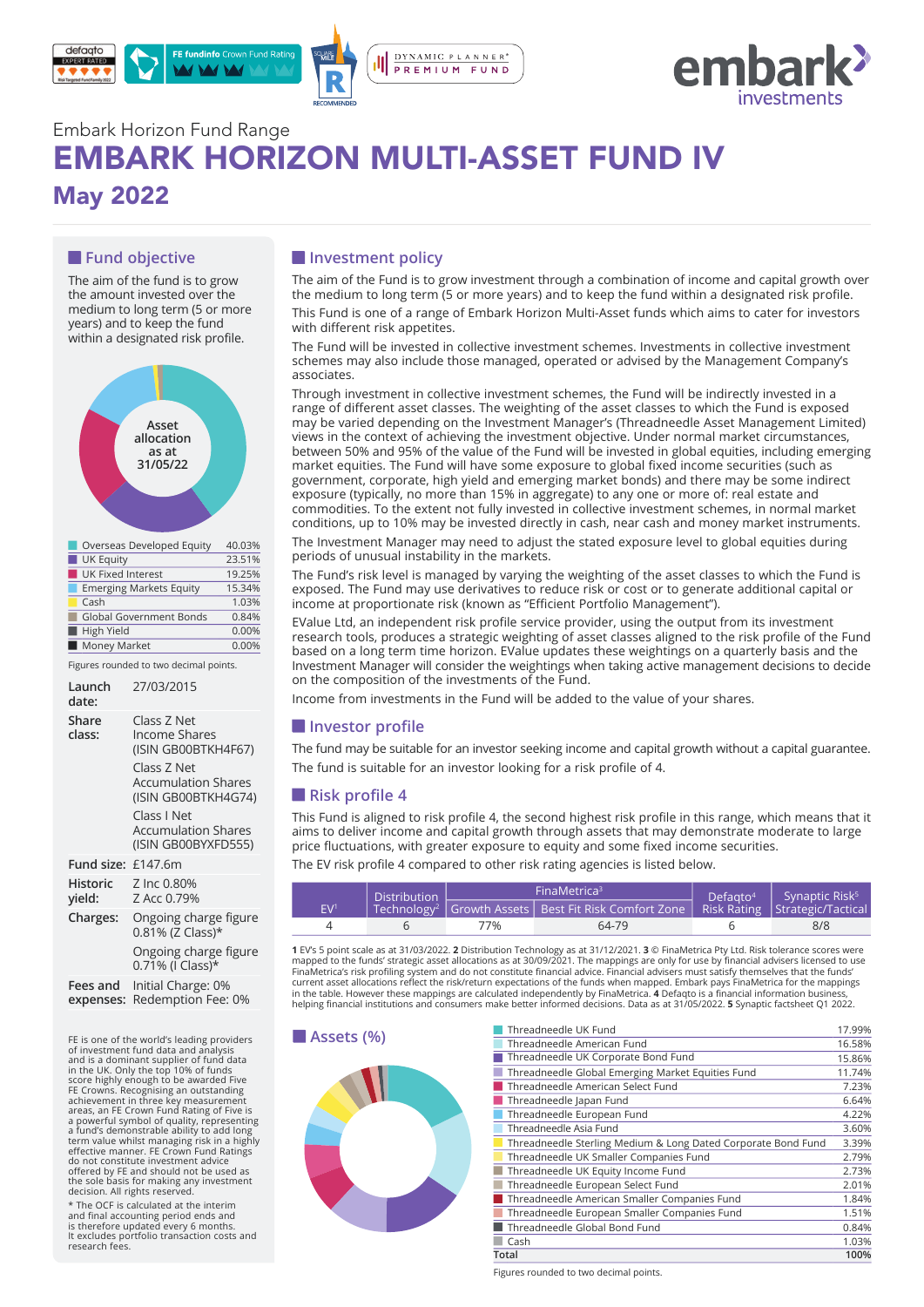



# Embark Horizon Fund Range EMBARK HORIZON MULTI-ASSET FUND IV May 2022

## **Fund objective**

The aim of the fund is to grow the amount invested over the medium to long term (5 or more years) and to keep the fund within a designated risk profile.



| Overseas Developed Equity      | 40.03% |
|--------------------------------|--------|
| <b>UK Equity</b>               | 23.51% |
| <b>UK Fixed Interest</b>       | 19.25% |
| <b>Emerging Markets Equity</b> | 15.34% |
| Cash                           | 1.03%  |
| <b>Global Government Bonds</b> | 0.84%  |
| High Yield                     | 0.00%  |
| Money Market                   | 0.00%  |

Figures rounded to two decimal points.

| Launch<br>date:       | 27/03/2015                                                                                                                                                                                  |
|-----------------------|---------------------------------------------------------------------------------------------------------------------------------------------------------------------------------------------|
| Share<br>class:       | Class Z Net<br>Income Shares<br>(ISIN GB00BTKH4F67)<br>Class 7 Net<br><b>Accumulation Shares</b><br>(ISIN GB00BTKH4G74)<br>Class I Net<br><b>Accumulation Shares</b><br>(ISIN GB00BYXFD555) |
| Fund size: £147.6m    |                                                                                                                                                                                             |
| Historic<br>yield:    | Z Inc 0.80%<br>Z Acc 0.79%                                                                                                                                                                  |
| Charges:              | Ongoing charge figure<br>0.81% (Z Class)*                                                                                                                                                   |
|                       | Ongoing charge figure<br>0.71% (I Class)*                                                                                                                                                   |
| Fees and<br>expenses: | Initial Charge: 0%<br>Redemption Fee: 0%                                                                                                                                                    |

FE is one of the world's leading providers **ASSETS (%)**<br>of investment fund data and analysis and is a dominant supplier of fund data<br>in the UK. Only the top 10% of funds<br>iscore highly enough to be awarded Five<br>FE Crowns. Recognising an outstanding<br>FE Crowns. Recognising an outstanding<br>areas, an FE Crown Fund Ratin do not constitute investment advice offered by FE and should not be used as the sole basis for making any investment decision. All rights reserved.

\* The OCF is calculated at the interim and final accounting period ends and is therefore updated every 6 months. It excludes portfolio transaction costs and research fees.

## $\blacksquare$  Investment policy

The aim of the Fund is to grow investment through a combination of income and capital growth over the medium to long term (5 or more years) and to keep the fund within a designated risk profile.

This Fund is one of a range of Embark Horizon Multi-Asset funds which aims to cater for investors with different risk appetites.

The Fund will be invested in collective investment schemes. Investments in collective investment schemes may also include those managed, operated or advised by the Management Company's associates.

Through investment in collective investment schemes, the Fund will be indirectly invested in a range of different asset classes. The weighting of the asset classes to which the Fund is exposed may be varied depending on the Investment Manager's (Threadneedle Asset Management Limited) views in the context of achieving the investment objective. Under normal market circumstances, between 50% and 95% of the value of the Fund will be invested in global equities, including emerging market equities. The Fund will have some exposure to global fixed income securities (such as government, corporate, high yield and emerging market bonds) and there may be some indirect exposure (typically, no more than 15% in aggregate) to any one or more of: real estate and commodities. To the extent not fully invested in collective investment schemes, in normal market conditions, up to 10% may be invested directly in cash, near cash and money market instruments.

The Investment Manager may need to adjust the stated exposure level to global equities during periods of unusual instability in the markets.

The Fund's risk level is managed by varying the weighting of the asset classes to which the Fund is exposed. The Fund may use derivatives to reduce risk or cost or to generate additional capital or income at proportionate risk (known as "Efficient Portfolio Management").

EValue Ltd, an independent risk profile service provider, using the output from its investment research tools, produces a strategic weighting of asset classes aligned to the risk profile of the Fund based on a long term time horizon. EValue updates these weightings on a quarterly basis and the Investment Manager will consider the weightings when taking active management decisions to decide on the composition of the investments of the Fund.

Income from investments in the Fund will be added to the value of your shares.

#### $\blacksquare$  Investor profile

The fund may be suitable for an investor seeking income and capital growth without a capital guarantee. The fund is suitable for an investor looking for a risk profile of 4.

#### **Risk profile 4**

This Fund is aligned to risk profile 4, the second highest risk profile in this range, which means that it aims to deliver income and capital growth through assets that may demonstrate moderate to large price fluctuations, with greater exposure to equity and some fixed income securities.

The EV risk profile 4 compared to other risk rating agencies is listed below.

| Distribution<br>EV <sup>1</sup> |  | FinaMetrica <sup>3</sup>                                                                                | Defaato <sup>4</sup> | Synaptic Risk <sup>5</sup> |     |
|---------------------------------|--|---------------------------------------------------------------------------------------------------------|----------------------|----------------------------|-----|
|                                 |  | Technology <sup>2</sup>   Growth Assets   Best Fit Risk Comfort Zone   Risk Rating   Strategic/Tactical |                      |                            |     |
|                                 |  | 7%                                                                                                      | 64-79                |                            | 8/8 |

**1** EV's 5 point scale as at 31/03/2022. **2** Distribution Technology as at 31/12/2021. **3** © FinaMetrica Pty Ltd. Risk tolerance scores were mapped to the funds' strategic asset allocations as at 30/09/2021. The mappings are only for use by financial advisers licensed to use<br>FinaMetrica's risk profiling system and do not constitute financial advice. Financial a current asset allocations reflect the risk/return expectations of the funds when mapped. Embark pays FinaMetrica for the mappings<br>in the table. However these mappings are calculated independently by FinaMetrica. **4** Defaqt



| Threadneedle UK Fund                                          | 17.99% |
|---------------------------------------------------------------|--------|
| Threadneedle American Fund                                    | 16.58% |
| Threadneedle UK Corporate Bond Fund                           | 15.86% |
| Threadneedle Global Emerging Market Equities Fund             | 11.74% |
| Threadneedle American Select Fund                             | 7.23%  |
| Threadneedle Japan Fund                                       | 6.64%  |
| Threadneedle European Fund                                    | 4.22%  |
| Threadneedle Asia Fund                                        | 3.60%  |
| Threadneedle Sterling Medium & Long Dated Corporate Bond Fund | 3.39%  |
| Threadneedle UK Smaller Companies Fund                        | 2.79%  |
| Threadneedle UK Equity Income Fund                            | 2.73%  |
| Threadneedle European Select Fund                             | 2.01%  |
| Threadneedle American Smaller Companies Fund                  | 1.84%  |
| Threadneedle European Smaller Companies Fund                  | 1.51%  |
| Threadneedle Global Bond Fund                                 | 0.84%  |
| Cash                                                          | 1.03%  |
| Total                                                         | 100%   |

Figures rounded to two decimal points.